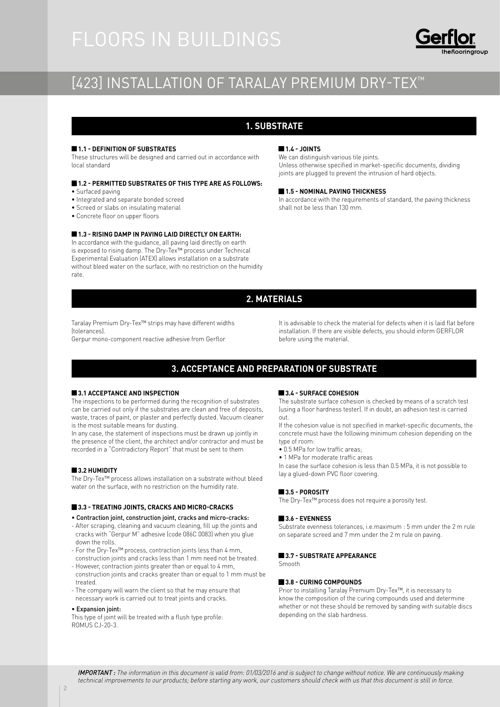# [423] INSTALLATION OF TARALAY PREMIUM DRY-TEX<sup>™</sup>

# **1. SUBSTRATE**

#### **1.1 - DEFINITION OF SUBSTRATES**

These structures will be designed and carried out in accordance with local standard

#### **1.2 - PERMITTED SUBSTRATES OF THIS TYPE ARE AS FOLLOWS:** • Surfaced paving

- 
- Integrated and separate bonded screed
- Screed or slabs on insulating material
- Concrete floor on upper floors

### **1.3 - RISING DAMP IN PAVING LAID DIRECTLY ON EARTH:**

In accordance with the guidance, all paving laid directly on earth is exposed to rising damp. The Dry-Tex™ process under Technical Experimental Evaluation (ATEX) allows installation on a substrate without bleed water on the surface, with no restriction on the humidity rate.

### **1.4 - JOINTS**

We can distinguish various tile joints. Unless otherwise specified in market-specific documents, dividing joints are plugged to prevent the intrusion of hard objects.

#### **1.5 - NOMINAL PAVING THICKNESS**

In accordance with the requirements of standard, the paving thickness shall not be less than 130 mm.

# **2. MATERIALS**

Taralay Premium Dry-Tex™ strips may have different widths (tolerances).

Gerpur mono-component reactive adhesive from Gerflor

It is advisable to check the material for defects when it is laid flat before installation. If there are visible defects, you should inform GERFLOR before using the material.

## **3. ACCEPTANCE AND PREPARATION OF SUBSTRATE**

#### **3.1 ACCEPTANCE AND INSPECTION**

The inspections to be performed during the recognition of substrates can be carried out only if the substrates are clean and free of deposits, waste, traces of paint, or plaster and perfectly dusted. Vacuum cleaner is the most suitable means for dusting.

In any case, the statement of inspections must be drawn up jointly in the presence of the client, the architect and/or contractor and must be recorded in a "Contradictory Report" that must be sent to them

#### **3.2 HUMIDITY**

The Dry-Tex™ process allows installation on a substrate without bleed water on the surface, with no restriction on the humidity rate.

#### **3.3 - TREATING JOINTS, CRACKS AND MICRO-CRACKS**

#### • Contraction joint, construction joint, cracks and micro-cracks:

- After scraping, cleaning and vacuum cleaning, fill up the joints and cracks with "Gerpur M" adhesive (code 086C 0083) when you glue down the rolls.
- For the Dry-Tex™ process, contraction joints less than 4 mm, construction joints and cracks less than 1 mm need not be treated.
- However, contraction joints greater than or equal to 4 mm, construction joints and cracks greater than or equal to 1 mm must be treated.
- The company will warn the client so that he may ensure that necessary work is carried out to treat joints and cracks.

#### • Expansion joint:

This type of joint will be treated with a flush type profile: ROMUS CJ-20-3.

#### **3.4 - SURFACE COHESION**

The substrate surface cohesion is checked by means of a scratch test (using a floor hardness tester). If in doubt, an adhesion test is carried out.

If the cohesion value is not specified in market-specific documents, the concrete must have the following minimum cohesion depending on the type of room:

- 0.5 MPa for low traffic areas;
- 1 MPa for moderate traffic areas

In case the surface cohesion is less than 0.5 MPa, it is not possible to lay a glued-down PVC floor covering.

#### **3.5 - POROSITY**

The Dry-Tex™ process does not require a porosity test.

#### **3.6 - EVENNESS**

Substrate evenness tolerances, i.e.maximum : 5 mm under the 2 m rule on separate screed and 7 mm under the 2 m rule on paving.

#### **3.7 - SUBSTRATE APPEARANCE**

Smooth

#### **3.8 - CURING COMPOUNDS**

Prior to installing Taralay Premium Dry-Tex™, it is necessary to know the composition of the curing compounds used and determine whether or not these should be removed by sanding with suitable discs depending on the slab hardness.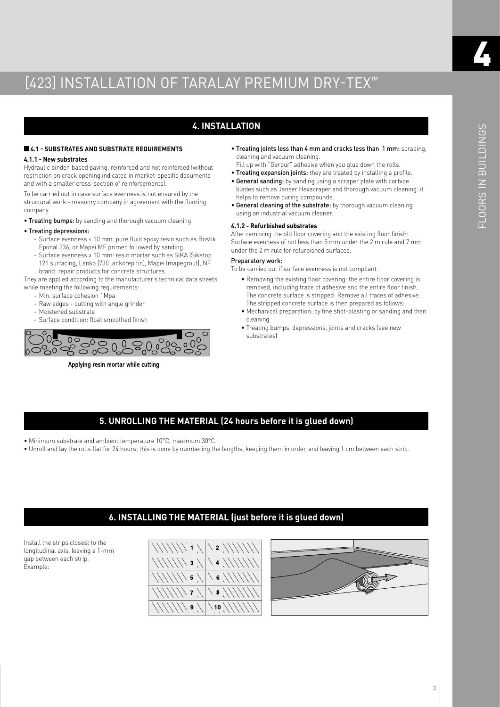# **4. INSTALLATION**

#### **4.1 - SUBSTRATES AND SUBSTRATE REQUIREMENTS**

#### **4.1.1 - New substrates**

Hydraulic binder-based paving, reinforced and not reinforced (without restriction on crack opening indicated in market-specific documents and with a smaller cross-section of reinforcements).

To be carried out in case surface evenness is not ensured by the structural work - masonry company in agreement with the flooring company.

• Treating bumps: by sanding and thorough vacuum cleaning.

#### • Treating depressions:

- Surface evenness < 10 mm: pure fluid epoxy resin such as Bostik Eponal 336, or Mapei MF primer, followed by sanding.
- Surface evenness ≥ 10 mm: resin mortar such as SIKA (Sikatop 121 surfacing, Lanko (730 lankorep fin), Mapei (mapegrout), NF brand: repair products for concrete structures.

They are applied according to the manufacturer's technical data sheets while meeting the following requirements:

- Min. surface cohesion 1Mpa
- Raw edges cutting with angle grinder
- Moistened substrate
- Surface condition: float smoothed finish



**Applying resin mortar while cutting**

• Treating joints less than 4 mm and cracks less than 1 mm: scraping, cleaning and vacuum cleaning.

Fill up with "Gerpur" adhesive when you glue down the rolls. • Treating expansion joints: they are treated by installing a profile.

- General sanding: by sanding using a scraper plate with carbide blades such as Janser Hexacraper and thorough vacuum cleaning: it helps to remove curing compounds.
- General cleaning of the substrate: by thorough vacuum cleaning using an industrial vacuum cleaner.

#### **4.1.2 - Refurbished substrates**

After removing the old floor covering and the existing floor finish: Surface evenness of not less than 5 mm under the 2 m rule and 7 mm under the 2 m rule for refurbished surfaces.

#### Preparatory work:

To be carried out if surface evenness is not compliant.

- Removing the existing floor covering: the entire floor covering is removed, including trace of adhesive and the entire floor finish. The concrete surface is stripped: Remove all traces of adhesive. The stripped concrete surface is then prepared as follows:
- Mechanical preparation: by fine shot-blasting or sanding and then cleaning
- Treating bumps, depressions, joints and cracks (see new substrates)

## **5. UNROLLING THE MATERIAL (24 hours before it is glued down)**

- Minimum substrate and ambient temperature 10°C, maximum 30°C.
- Unroll and lay the rolls flat for 24 hours; this is done by numbering the lengths, keeping them in order, and leaving 1 cm between each strip.

# **6. INSTALLING THE MATERIAL (just before it is glued down)**

Install the strips closest to the longitudinal axis, leaving a 1-mm gap between each strip. Example:





4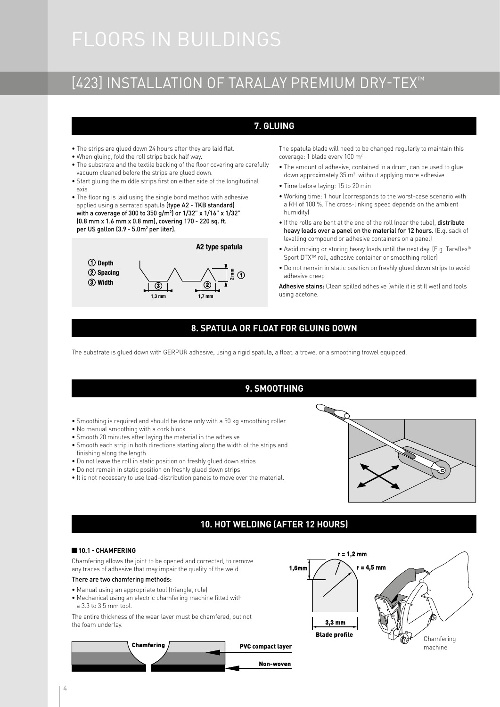# [423] INSTALLATION OF TARALAY PREMIUM DRY-TEX™

# **7. GLUING**

- The strips are glued down 24 hours after they are laid flat.
- When gluing, fold the roll strips back half way.
- The substrate and the textile backing of the floor covering are carefully vacuum cleaned before the strips are glued down.
- Start gluing the middle strips first on either side of the longitudinal axis
- The flooring is laid using the single bond method with adhesive applied using a serrated spatula (type A2 - TKB standard) with a coverage of 300 to 350 g/m2 ) or 1/32" x 1/16" x 1/32" (0.8 mm x 1.6 mm x 0.8 mm), covering 170 - 220 sq. ft. per US gallon (3.9 - 5.0m² per liter).



The spatula blade will need to be changed regularly to maintain this coverage: 1 blade every 100 m2

- The amount of adhesive, contained in a drum, can be used to glue down approximately 35 m<sup>2</sup>, without applying more adhesive.
- Time before laying: 15 to 20 min
- Working time: 1 hour (corresponds to the worst-case scenario with a RH of 100 %. The cross-linking speed depends on the ambient humidity)
- If the rolls are bent at the end of the roll (near the tube), distribute heavy loads over a panel on the material for 12 hours. (E.g. sack of levelling compound or adhesive containers on a panel)
- Avoid moving or storing heavy loads until the next day. (E.g. Taraflex® Sport DTX™ roll, adhesive container or smoothing roller)
- Do not remain in static position on freshly glued down strips to avoid adhesive creep

Adhesive stains: Clean spilled adhesive (while it is still wet) and tools using acetone.

# **8. SPATULA OR FLOAT FOR GLUING DOWN**

The substrate is glued down with GERPUR adhesive, using a rigid spatula, a float, a trowel or a smoothing trowel equipped.

# **9. SMOOTHING**

- Smoothing is required and should be done only with a 50 kg smoothing roller
- No manual smoothing with a cork block
- Smooth 20 minutes after laying the material in the adhesive
- Smooth each strip in both directions starting along the width of the strips and finishing along the length
- Do not leave the roll in static position on freshly glued down strips
- Do not remain in static position on freshly glued down strips
- It is not necessary to use load-distribution panels to move over the material.



# **10. HOT WELDING (AFTER 12 HOURS)**

#### **10.1 - CHAMFERING**

Chamfering allows the joint to be opened and corrected, to remove any traces of adhesive that may impair the quality of the weld.

#### There are two chamfering methods:

- Manual using an appropriate tool (triangle, rule)
- Mechanical using an electric chamfering machine fitted with a 3.3 to 3.5 mm tool.

The entire thickness of the wear layer must be chamfered, but not the foam underlay.